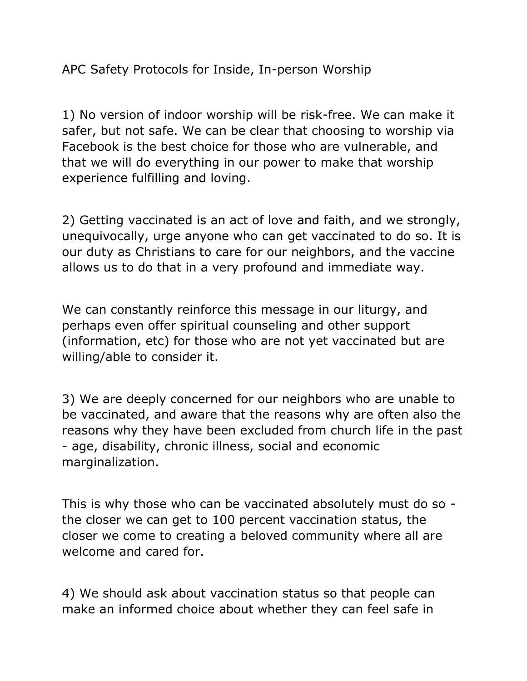APC Safety Protocols for Inside, In-person Worship

1) No version of indoor worship will be risk-free. We can make it safer, but not safe. We can be clear that choosing to worship via Facebook is the best choice for those who are vulnerable, and that we will do everything in our power to make that worship experience fulfilling and loving.

2) Getting vaccinated is an act of love and faith, and we strongly, unequivocally, urge anyone who can get vaccinated to do so. It is our duty as Christians to care for our neighbors, and the vaccine allows us to do that in a very profound and immediate way.

We can constantly reinforce this message in our liturgy, and perhaps even offer spiritual counseling and other support (information, etc) for those who are not yet vaccinated but are willing/able to consider it.

3) We are deeply concerned for our neighbors who are unable to be vaccinated, and aware that the reasons why are often also the reasons why they have been excluded from church life in the past - age, disability, chronic illness, social and economic marginalization.

This is why those who can be vaccinated absolutely must do so the closer we can get to 100 percent vaccination status, the closer we come to creating a beloved community where all are welcome and cared for.

4) We should ask about vaccination status so that people can make an informed choice about whether they can feel safe in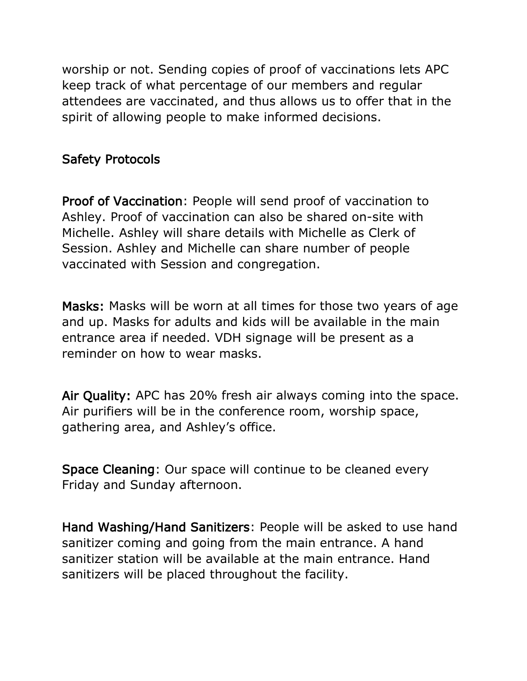worship or not. Sending copies of proof of vaccinations lets APC keep track of what percentage of our members and regular attendees are vaccinated, and thus allows us to offer that in the spirit of allowing people to make informed decisions.

## Safety Protocols

Proof of Vaccination: People will send proof of vaccination to Ashley. Proof of vaccination can also be shared on-site with Michelle. Ashley will share details with Michelle as Clerk of Session. Ashley and Michelle can share number of people vaccinated with Session and congregation.

Masks: Masks will be worn at all times for those two years of age and up. Masks for adults and kids will be available in the main entrance area if needed. VDH signage will be present as a reminder on how to wear masks.

Air Quality: APC has 20% fresh air always coming into the space. Air purifiers will be in the conference room, worship space, gathering area, and Ashley's office.

Space Cleaning: Our space will continue to be cleaned every Friday and Sunday afternoon.

Hand Washing/Hand Sanitizers: People will be asked to use hand sanitizer coming and going from the main entrance. A hand sanitizer station will be available at the main entrance. Hand sanitizers will be placed throughout the facility.